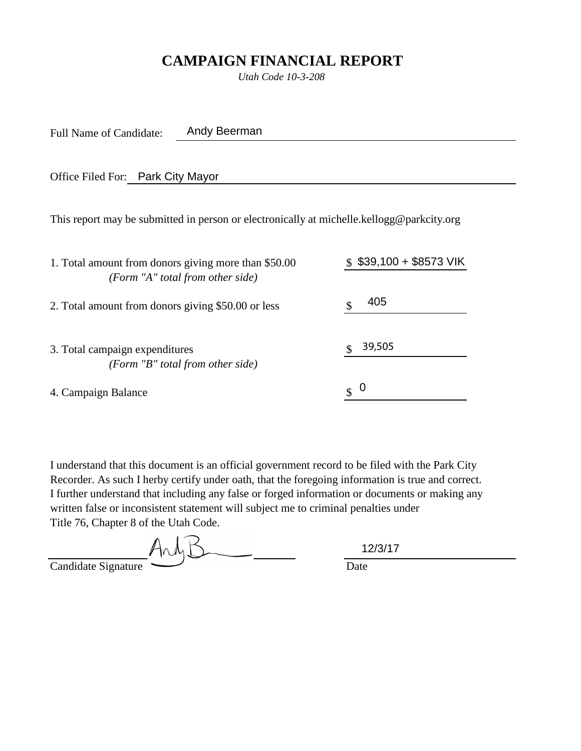# **CAMPAIGN FINANCIAL REPORT**

*Utah Code 10-3-208*

Full Name of Candidate: Andy Beerman

Office Filed For: Park City Mayor

This report may be submitted in person or electronically at michelle.kellogg@parkcity.org

| 1. Total amount from donors giving more than \$50.00                                                                                                                                | $$39,100 + $8573 \text{ V}$ K |
|-------------------------------------------------------------------------------------------------------------------------------------------------------------------------------------|-------------------------------|
| (Form "A" total from other side)                                                                                                                                                    |                               |
| 2. Total amount from donors giving \$50.00 or less                                                                                                                                  | 405                           |
| 3. Total campaign expenditures                                                                                                                                                      | 39,505                        |
| (Form "B" total from other side)                                                                                                                                                    |                               |
| 4. Campaign Balance                                                                                                                                                                 | 0<br>$\mathbb{S}^-$           |
|                                                                                                                                                                                     |                               |
| I understand that this document is an official government record to be filed with the Park Ci                                                                                       |                               |
| Recorder. As such I herby certify under oath, that the foregoing information is true and corre                                                                                      |                               |
| I further understand that including any false or forged information or documents or making a<br>written false or inconsistent statement will subject me to criminal penalties under |                               |
| Title 76, Chapter 8 of the Utah Code.                                                                                                                                               |                               |
|                                                                                                                                                                                     | 12/3/17                       |

And  $\leq$ Candidate Signature Date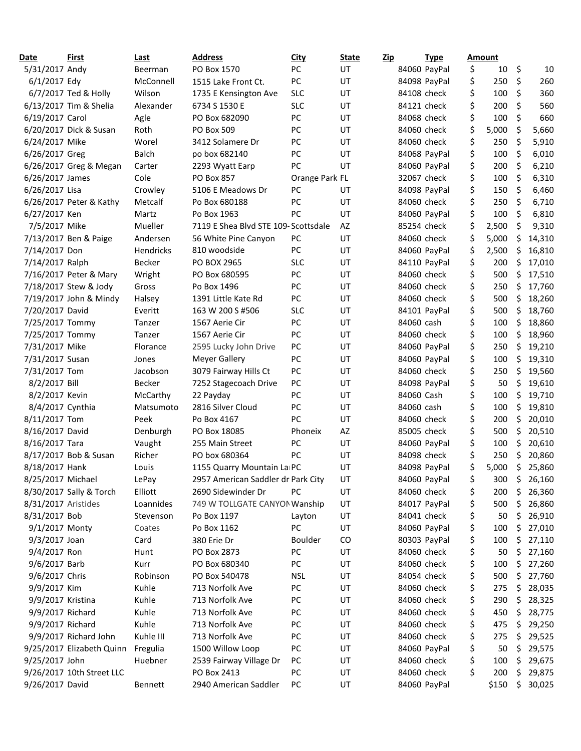| Date                | First                     | Last         | <b>Address</b>                       | <b>City</b>    | State     | <u>Zip</u>  | <b>Type</b>  | Amount      |    |        |
|---------------------|---------------------------|--------------|--------------------------------------|----------------|-----------|-------------|--------------|-------------|----|--------|
| 5/31/2017 Andy      |                           | Beerman      | PO Box 1570                          | PC             | <b>UT</b> |             | 84060 PayPal | \$<br>10    | \$ | 10     |
| 6/1/2017 Edy        |                           | McConnell    | 1515 Lake Front Ct.                  | PC             | UT        |             | 84098 PayPal | \$<br>250   | \$ | 260    |
|                     | 6/7/2017 Ted & Holly      | Wilson       | 1735 E Kensington Ave                | <b>SLC</b>     | UT        | 84108 check |              | \$<br>100   | \$ | 360    |
|                     | 6/13/2017 Tim & Shelia    | Alexander    | 6734 S 1530 E                        | <b>SLC</b>     | UT        | 84121 check |              | \$<br>200   | \$ | 560    |
| 6/19/2017 Carol     |                           | Agle         | PO Box 682090                        | PC             | UT        | 84068 check |              | \$<br>100   | \$ | 660    |
|                     | 6/20/2017 Dick & Susan    | Roth         | <b>PO Box 509</b>                    | PC             | UT        | 84060 check |              | \$<br>5,000 | \$ | 5,660  |
| 6/24/2017 Mike      |                           | Worel        | 3412 Solamere Dr                     | PC             | UT        | 84060 check |              | \$<br>250   | \$ | 5,910  |
| 6/26/2017 Greg      |                           | <b>Balch</b> | po box 682140                        | PC             | UT        |             | 84068 PayPal | \$<br>100   | \$ | 6,010  |
|                     | 6/26/2017 Greg & Megan    | Carter       | 2293 Wyatt Earp                      | PC             | UT        |             | 84060 PayPal | \$<br>200   | \$ | 6,210  |
| 6/26/2017 James     |                           | Cole         | PO Box 857                           | Orange Park FL |           |             | 32067 check  | \$<br>100   | \$ | 6,310  |
| 6/26/2017 Lisa      |                           | Crowley      | 5106 E Meadows Dr                    | PC             | UT        |             | 84098 PayPal | \$<br>150   | \$ | 6,460  |
|                     | 6/26/2017 Peter & Kathy   | Metcalf      | Po Box 680188                        | PC             | UT        |             | 84060 check  | \$<br>250   | \$ | 6,710  |
| 6/27/2017 Ken       |                           | Martz        | Po Box 1963                          | PC             | UT        |             | 84060 PayPal | \$<br>100   | \$ | 6,810  |
| 7/5/2017 Mike       |                           | Mueller      | 7119 E Shea Blvd STE 109- Scottsdale |                | AZ        |             | 85254 check  | \$<br>2,500 | \$ | 9,310  |
|                     | 7/13/2017 Ben & Paige     | Andersen     | 56 White Pine Canyon                 | PC             | UT        |             | 84060 check  | \$<br>5,000 | \$ | 14,310 |
| 7/14/2017 Don       |                           | Hendricks    | 810 woodside                         | PC             | UT        |             | 84060 PayPal | \$<br>2,500 | \$ | 16,810 |
| 7/14/2017 Ralph     |                           | Becker       | PO BOX 2965                          | <b>SLC</b>     | UT        |             | 84110 PayPal | \$<br>200   | \$ | 17,010 |
|                     | 7/16/2017 Peter & Mary    | Wright       | PO Box 680595                        | PC             | UT        |             | 84060 check  | \$<br>500   | \$ | 17,510 |
|                     | 7/18/2017 Stew & Jody     | Gross        | Po Box 1496                          | PC             | UT        | 84060 check |              | \$<br>250   | \$ | 17,760 |
|                     | 7/19/2017 John & Mindy    | Halsey       | 1391 Little Kate Rd                  | PC             | UT        | 84060 check |              | \$<br>500   | \$ | 18,260 |
| 7/20/2017 David     |                           | Everitt      | 163 W 200 S #506                     | <b>SLC</b>     | UT        |             | 84101 PayPal | \$<br>500   | \$ | 18,760 |
| 7/25/2017 Tommy     |                           | Tanzer       | 1567 Aerie Cir                       | PC             | UT        | 84060 cash  |              | \$<br>100   | \$ | 18,860 |
| 7/25/2017 Tommy     |                           | Tanzer       | 1567 Aerie Cir                       | PC             | UT        |             | 84060 check  | \$<br>100   | \$ | 18,960 |
| 7/31/2017 Mike      |                           | Florance     | 2595 Lucky John Drive                | PC             | UT        |             | 84060 PayPal | \$<br>250   | \$ | 19,210 |
| 7/31/2017 Susan     |                           | Jones        | Meyer Gallery                        | PC             | UT        |             | 84060 PayPal | \$<br>100   | \$ | 19,310 |
| 7/31/2017 Tom       |                           | Jacobson     | 3079 Fairway Hills Ct                | PC             | UT        |             | 84060 check  | \$<br>250   | \$ | 19,560 |
| 8/2/2017 Bill       |                           | Becker       | 7252 Stagecoach Drive                | PC             | UT        |             | 84098 PayPal | \$<br>50    | \$ | 19,610 |
| 8/2/2017 Kevin      |                           | McCarthy     | 22 Payday                            | PC             | UT        | 84060 Cash  |              | \$<br>100   | \$ | 19,710 |
| 8/4/2017 Cynthia    |                           | Matsumoto    | 2816 Silver Cloud                    | PC             | UT        | 84060 cash  |              | \$<br>100   | \$ | 19,810 |
| 8/11/2017 Tom       |                           | Peek         | Po Box 4167                          | PC             | UT        | 84060 check |              | \$<br>200   | \$ | 20,010 |
| 8/16/2017 David     |                           | Denburgh     | PO Box 18085                         | Phoneix        | AZ        |             | 85005 check  | \$<br>500   | \$ | 20,510 |
| 8/16/2017 Tara      |                           | Vaught       | 255 Main Street                      | PC             | UT        |             | 84060 PayPal | \$<br>100   | \$ | 20,610 |
|                     | 8/17/2017 Bob & Susan     | Richer       | PO box 680364                        | PC             | UT        |             | 84098 check  | \$<br>250   | Ś  | 20,860 |
| 8/18/2017 Hank      |                           | Louis        | 1155 Quarry Mountain La PC           |                | UT        |             | 84098 PayPal | \$<br>5,000 | \$ | 25,860 |
| 8/25/2017 Michael   |                           | LePay        | 2957 American Saddler dr Park City   |                | UT        |             | 84060 PayPal | \$<br>300   | \$ | 26,160 |
|                     | 8/30/2017 Sally & Torch   | Elliott      | 2690 Sidewinder Dr                   | PC             | UT        | 84060 check |              | \$<br>200   | \$ | 26,360 |
| 8/31/2017 Aristides |                           | Loannides    | 749 W TOLLGATE CANYON Wanship        |                | UT        |             | 84017 PayPal | \$<br>500   | \$ | 26,860 |
| 8/31/2017 Bob       |                           | Stevenson    | Po Box 1197                          | Layton         | UT        |             | 84041 check  | \$<br>50    | \$ | 26,910 |
| 9/1/2017 Monty      |                           | Coates       | Po Box 1162                          | PC             | UT        |             | 84060 PayPal | \$<br>100   | \$ | 27,010 |
| 9/3/2017 Joan       |                           | Card         | 380 Erie Dr                          | Boulder        | CO        |             | 80303 PayPal | \$<br>100   | \$ | 27,110 |
| 9/4/2017 Ron        |                           | Hunt         | PO Box 2873                          | PC             | UT        |             | 84060 check  | \$<br>50    | \$ | 27,160 |
| 9/6/2017 Barb       |                           | Kurr         | PO Box 680340                        | PC             | UT        |             | 84060 check  | \$<br>100   | \$ | 27,260 |
| 9/6/2017 Chris      |                           | Robinson     | PO Box 540478                        | <b>NSL</b>     | UT        |             | 84054 check  | \$<br>500   | \$ | 27,760 |
| 9/9/2017 Kim        |                           | Kuhle        | 713 Norfolk Ave                      | PC             | UT        | 84060 check |              | \$<br>275   | \$ | 28,035 |
| 9/9/2017 Kristina   |                           | Kuhle        | 713 Norfolk Ave                      | PC             | UT        | 84060 check |              | \$<br>290   | \$ | 28,325 |
| 9/9/2017 Richard    |                           | Kuhle        | 713 Norfolk Ave                      | PC             | UT        |             | 84060 check  | \$<br>450   | \$ | 28,775 |
| 9/9/2017 Richard    |                           | Kuhle        | 713 Norfolk Ave                      | PC             | UT        | 84060 check |              | \$<br>475   | \$ | 29,250 |
|                     | 9/9/2017 Richard John     | Kuhle III    | 713 Norfolk Ave                      | PC             | UT        |             | 84060 check  | \$<br>275   | Ş  | 29,525 |
|                     | 9/25/2017 Elizabeth Quinn | Fregulia     | 1500 Willow Loop                     | PC             | UT        |             | 84060 PayPal | \$<br>50    | \$ | 29,575 |
| 9/25/2017 John      |                           | Huebner      | 2539 Fairway Village Dr              | PC             | UT        |             | 84060 check  | \$<br>100   | \$ | 29,675 |
|                     | 9/26/2017 10th Street LLC |              | PO Box 2413                          | PC             | UT        |             | 84060 check  | \$<br>200   | \$ | 29,875 |
| 9/26/2017 David     |                           | Bennett      | 2940 American Saddler                | PC             | UT        |             | 84060 PayPal | \$150       | \$ | 30,025 |
|                     |                           |              |                                      |                |           |             |              |             |    |        |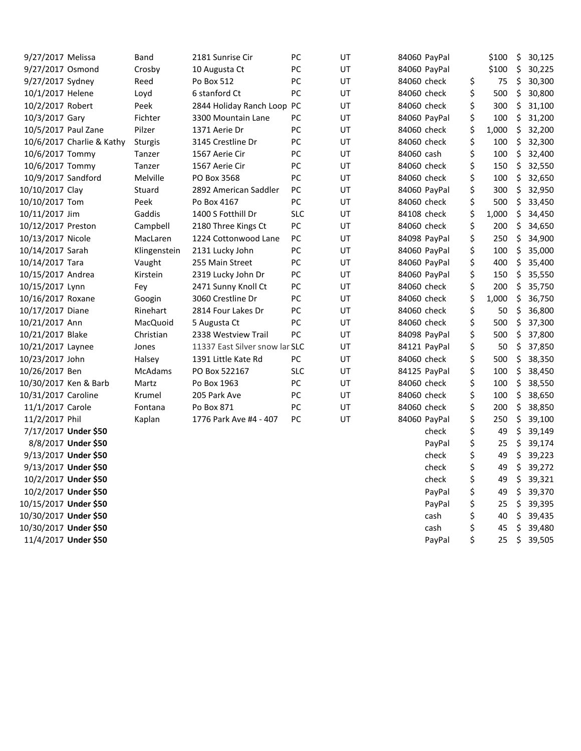| 9/27/2017 Melissa     |                           | Band         | 2181 Sunrise Cir               | PC         | UT |             | 84060 PayPal | \$100       | \$<br>30,125 |
|-----------------------|---------------------------|--------------|--------------------------------|------------|----|-------------|--------------|-------------|--------------|
| 9/27/2017 Osmond      |                           | Crosby       | 10 Augusta Ct                  | PC         | UT |             | 84060 PayPal | \$100       | \$<br>30,225 |
| 9/27/2017 Sydney      |                           | Reed         | Po Box 512                     | PC         | UT | 84060 check |              | \$<br>75    | \$<br>30,300 |
| 10/1/2017 Helene      |                           | Loyd         | 6 stanford Ct                  | PC         | UT | 84060 check |              | \$<br>500   | \$<br>30,800 |
| 10/2/2017 Robert      |                           | Peek         | 2844 Holiday Ranch Loop        | PC         | UT | 84060 check |              | \$<br>300   | \$<br>31,100 |
| 10/3/2017 Gary        |                           | Fichter      | 3300 Mountain Lane             | PC         | UT |             | 84060 PayPal | \$<br>100   | \$<br>31,200 |
| 10/5/2017 Paul Zane   |                           | Pilzer       | 1371 Aerie Dr                  | PC         | UT | 84060 check |              | \$<br>1,000 | \$<br>32,200 |
|                       | 10/6/2017 Charlie & Kathy | Sturgis      | 3145 Crestline Dr              | PC         | UT | 84060 check |              | \$<br>100   | \$<br>32,300 |
| 10/6/2017 Tommy       |                           | Tanzer       | 1567 Aerie Cir                 | PC         | UT | 84060 cash  |              | \$<br>100   | \$<br>32,400 |
| 10/6/2017 Tommy       |                           | Tanzer       | 1567 Aerie Cir                 | PC         | UT | 84060 check |              | \$<br>150   | \$<br>32,550 |
| 10/9/2017 Sandford    |                           | Melville     | PO Box 3568                    | PC         | UT | 84060 check |              | \$<br>100   | \$<br>32,650 |
| 10/10/2017 Clay       |                           | Stuard       | 2892 American Saddler          | PC         | UT |             | 84060 PayPal | \$<br>300   | \$<br>32,950 |
| 10/10/2017 Tom        |                           | Peek         | Po Box 4167                    | PC         | UT | 84060 check |              | \$<br>500   | \$<br>33,450 |
| 10/11/2017 Jim        |                           | Gaddis       | 1400 S Fotthill Dr             | <b>SLC</b> | UT | 84108 check |              | \$<br>1,000 | \$<br>34,450 |
| 10/12/2017 Preston    |                           | Campbell     | 2180 Three Kings Ct            | PC         | UT | 84060 check |              | \$<br>200   | \$<br>34,650 |
| 10/13/2017 Nicole     |                           | MacLaren     | 1224 Cottonwood Lane           | PC         | UT |             | 84098 PayPal | \$<br>250   | \$<br>34,900 |
| 10/14/2017 Sarah      |                           | Klingenstein | 2131 Lucky John                | PC         | UT |             | 84060 PayPal | \$<br>100   | \$<br>35,000 |
| 10/14/2017 Tara       |                           | Vaught       | 255 Main Street                | PC         | UT |             | 84060 PayPal | \$<br>400   | \$<br>35,400 |
| 10/15/2017 Andrea     |                           | Kirstein     | 2319 Lucky John Dr             | PC         | UT |             | 84060 PayPal | \$<br>150   | \$<br>35,550 |
| 10/15/2017 Lynn       |                           | Fey          | 2471 Sunny Knoll Ct            | PC         | UT | 84060 check |              | \$<br>200   | \$<br>35,750 |
| 10/16/2017 Roxane     |                           | Googin       | 3060 Crestline Dr              | PC         | UT | 84060 check |              | \$<br>1,000 | \$<br>36,750 |
| 10/17/2017 Diane      |                           | Rinehart     | 2814 Four Lakes Dr             | PC         | UT | 84060 check |              | \$<br>50    | \$<br>36,800 |
| 10/21/2017 Ann        |                           | MacQuoid     | 5 Augusta Ct                   | PC         | UT | 84060 check |              | \$<br>500   | \$<br>37,300 |
| 10/21/2017 Blake      |                           | Christian    | 2338 Westview Trail            | PC         | UT |             | 84098 PayPal | \$<br>500   | \$<br>37,800 |
| 10/21/2017 Laynee     |                           | Jones        | 11337 East Silver snow lar SLC |            | UT |             | 84121 PayPal | \$<br>50    | \$<br>37,850 |
| 10/23/2017 John       |                           | Halsey       | 1391 Little Kate Rd            | PC         | UT | 84060 check |              | \$<br>500   | \$<br>38,350 |
| 10/26/2017 Ben        |                           | McAdams      | PO Box 522167                  | <b>SLC</b> | UT |             | 84125 PayPal | \$<br>100   | \$<br>38,450 |
| 10/30/2017 Ken & Barb |                           | Martz        | Po Box 1963                    | PC         | UT | 84060 check |              | \$<br>100   | \$<br>38,550 |
| 10/31/2017 Caroline   |                           | Krumel       | 205 Park Ave                   | PC         | UT | 84060 check |              | \$<br>100   | \$<br>38,650 |
| 11/1/2017 Carole      |                           | Fontana      | Po Box 871                     | PC         | UT | 84060 check |              | \$<br>200   | \$<br>38,850 |
| 11/2/2017 Phil        |                           | Kaplan       | 1776 Park Ave #4 - 407         | PC         | UT |             | 84060 PayPal | \$<br>250   | \$<br>39,100 |
|                       | 7/17/2017 Under \$50      |              |                                |            |    |             | check        | \$<br>49    | \$<br>39,149 |
|                       | 8/8/2017 Under \$50       |              |                                |            |    |             | PayPal       | \$<br>25    | \$<br>39,174 |
|                       | 9/13/2017 Under \$50      |              |                                |            |    |             | check        | \$<br>49    | \$<br>39,223 |
|                       | 9/13/2017 Under \$50      |              |                                |            |    |             | check        | \$<br>49    | \$<br>39,272 |
|                       | 10/2/2017 Under \$50      |              |                                |            |    |             | check        | \$<br>49    | \$<br>39,321 |
|                       | 10/2/2017 Under \$50      |              |                                |            |    |             | PayPal       | \$<br>49    | \$<br>39,370 |
| 10/15/2017 Under \$50 |                           |              |                                |            |    |             | PayPal       | \$<br>25    | \$<br>39,395 |
| 10/30/2017 Under \$50 |                           |              |                                |            |    |             | cash         | \$<br>40    | \$<br>39,435 |
| 10/30/2017 Under \$50 |                           |              |                                |            |    |             | cash         | \$<br>45    | \$<br>39,480 |
|                       | 11/4/2017 Under \$50      |              |                                |            |    |             | PayPal       | \$<br>25    | \$<br>39,505 |
|                       |                           |              |                                |            |    |             |              |             |              |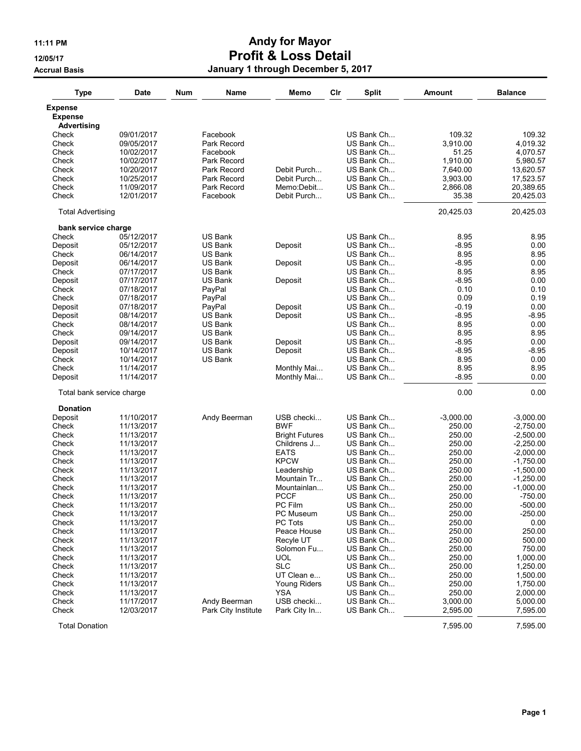## 11:11 PM **Andy for Mayor** 12/05/17 Profit & Loss Detail Accrual Basis **Accrual Basis January 1 through December 5, 2017**

| <b>Type</b>                   | <b>Date</b> | Num | Name                | Memo                      | Cir | <b>Split</b> | <b>Amount</b> | <b>Balance</b> |
|-------------------------------|-------------|-----|---------------------|---------------------------|-----|--------------|---------------|----------------|
| Expense                       |             |     |                     |                           |     |              |               |                |
| <b>Expense</b><br>Advertising |             |     |                     |                           |     |              |               |                |
| Check                         | 09/01/2017  |     | Facebook            |                           |     | US Bank Ch   | 109.32        | 109.32         |
| Check                         | 09/05/2017  |     | Park Record         |                           |     | US Bank Ch   | 3,910.00      | 4,019.32       |
| Check                         | 10/02/2017  |     | Facebook            |                           |     | US Bank Ch   | 51.25         | 4,070.57       |
| Check                         | 10/02/2017  |     | Park Record         |                           |     | US Bank Ch   | 1,910.00      | 5,980.57       |
| Check                         | 10/20/2017  |     | Park Record         | Debit Purch               |     | US Bank Ch   | 7,640.00      | 13,620.57      |
| Check                         | 10/25/2017  |     | Park Record         | Debit Purch               |     | US Bank Ch   | 3,903.00      | 17,523.57      |
| Check                         | 11/09/2017  |     | Park Record         | Memo:Debit                |     | US Bank Ch   | 2,866.08      | 20,389.65      |
| Check                         | 12/01/2017  |     | Facebook            | Debit Purch               |     | US Bank Ch   | 35.38         | 20,425.03      |
| <b>Total Advertising</b>      |             |     |                     |                           |     |              | 20,425.03     | 20,425.03      |
| bank service charge           |             |     |                     |                           |     |              |               |                |
| Check                         | 05/12/2017  |     | <b>US Bank</b>      |                           |     | US Bank Ch   | 8.95          | 8.95           |
| Deposit                       | 05/12/2017  |     | <b>US Bank</b>      | Deposit                   |     | US Bank Ch   | $-8.95$       | 0.00           |
| Check                         | 06/14/2017  |     | US Bank             |                           |     | US Bank Ch   | 8.95          | 8.95           |
| Deposit                       | 06/14/2017  |     | US Bank             | Deposit                   |     | US Bank Ch   | -8.95         | 0.00           |
| Check                         | 07/17/2017  |     | US Bank             |                           |     | US Bank Ch   | 8.95          | 8.95           |
| Deposit                       | 07/17/2017  |     | <b>US Bank</b>      | Deposit                   |     | US Bank Ch   | -8.95         | 0.00           |
| Check                         | 07/18/2017  |     | PayPal              |                           |     | US Bank Ch   | 0.10          | 0.10           |
| Check                         | 07/18/2017  |     | PayPal              |                           |     | US Bank Ch   | 0.09          | 0.19           |
| Deposit                       | 07/18/2017  |     | PayPal              | Deposit                   |     | US Bank Ch   | -0.19         | 0.00           |
| Deposit                       | 08/14/2017  |     | US Bank             | Deposit                   |     | US Bank Ch   | $-8.95$       | $-8.95$        |
| Check                         | 08/14/2017  |     | US Bank             |                           |     | US Bank Ch   | 8.95          | 0.00           |
| Check                         | 09/14/2017  |     | US Bank             |                           |     | US Bank Ch   | 8.95          | 8.95           |
| Deposit                       | 09/14/2017  |     | <b>US Bank</b>      | Deposit                   |     | US Bank Ch   | $-8.95$       | 0.00           |
| Deposit                       | 10/14/2017  |     | <b>US Bank</b>      | Deposit                   |     | US Bank Ch   | $-8.95$       | $-8.95$        |
| Check                         | 10/14/2017  |     | US Bank             |                           |     | US Bank Ch   | 8.95          | 0.00           |
| Check                         | 11/14/2017  |     |                     | Monthly Mai               |     | US Bank Ch   | 8.95          | 8.95           |
| Deposit                       | 11/14/2017  |     |                     | Monthly Mai               |     | US Bank Ch   | $-8.95$       | 0.00           |
| Total bank service charge     |             |     |                     |                           |     |              | 0.00          | 0.00           |
| <b>Donation</b>               |             |     |                     |                           |     |              |               |                |
| Deposit                       | 11/10/2017  |     | Andy Beerman        | USB checki                |     | US Bank Ch   | $-3,000.00$   | $-3,000.00$    |
| Check                         | 11/13/2017  |     |                     | <b>BWF</b>                |     | US Bank Ch   | 250.00        | $-2,750.00$    |
| Check                         | 11/13/2017  |     |                     | <b>Bright Futures</b>     |     | US Bank Ch   | 250.00        | $-2,500.00$    |
| Check                         | 11/13/2017  |     |                     | Childrens J               |     | US Bank Ch   | 250.00        | $-2,250.00$    |
| Check                         | 11/13/2017  |     |                     | <b>EATS</b>               |     | US Bank Ch   | 250.00        | $-2,000.00$    |
| Check                         | 11/13/2017  |     |                     | <b>KPCW</b>               |     | US Bank Ch   | 250.00        | $-1,750.00$    |
| Check                         | 11/13/2017  |     |                     |                           |     | US Bank Ch   | 250.00        |                |
| Check                         | 11/13/2017  |     |                     | Leadership<br>Mountain Tr |     | US Bank Ch   | 250.00        | $-1,500.00$    |
|                               |             |     |                     |                           |     |              |               | $-1,250.00$    |
| Check                         | 11/13/2017  |     |                     | Mountainlan               |     | US Bank Ch   | 250.00        | $-1,000.00$    |
| Check                         | 11/13/2017  |     |                     | <b>PCCF</b>               |     | US Bank Ch   | 250.00        | -750.00        |
| Check                         | 11/13/2017  |     |                     | PC Film                   |     | US Bank Ch   | 250.00        | $-500.00$      |
| Check                         | 11/13/2017  |     |                     | PC Museum                 |     | US Bank Ch   | 250.00        | $-250.00$      |
| Check                         | 11/13/2017  |     |                     | PC Tots                   |     | US Bank Ch   | 250.00        | 0.00           |
| Check                         | 11/13/2017  |     |                     | Peace House               |     | US Bank Ch   | 250.00        | 250.00         |
| Check                         | 11/13/2017  |     |                     | Recyle UT                 |     | US Bank Ch   | 250.00        | 500.00         |
| Check                         | 11/13/2017  |     |                     | Solomon Fu                |     | US Bank Ch   | 250.00        | 750.00         |
| Check                         | 11/13/2017  |     |                     | <b>UOL</b>                |     | US Bank Ch   | 250.00        | 1,000.00       |
| Check                         | 11/13/2017  |     |                     | <b>SLC</b>                |     | US Bank Ch   | 250.00        | 1,250.00       |
| Check                         | 11/13/2017  |     |                     | UT Clean e                |     | US Bank Ch   | 250.00        | 1,500.00       |
| Check                         | 11/13/2017  |     |                     | <b>Young Riders</b>       |     | US Bank Ch   | 250.00        | 1,750.00       |
| Check                         | 11/13/2017  |     |                     | <b>YSA</b>                |     | US Bank Ch   | 250.00        | 2,000.00       |
| Check                         | 11/17/2017  |     | Andy Beerman        | USB checki                |     | US Bank Ch   | 3,000.00      | 5,000.00       |
| Check                         | 12/03/2017  |     | Park City Institute | Park City In              |     | US Bank Ch   | 2,595.00      | 7,595.00       |
| <b>Total Donation</b>         |             |     |                     |                           |     |              | 7,595.00      | 7,595.00       |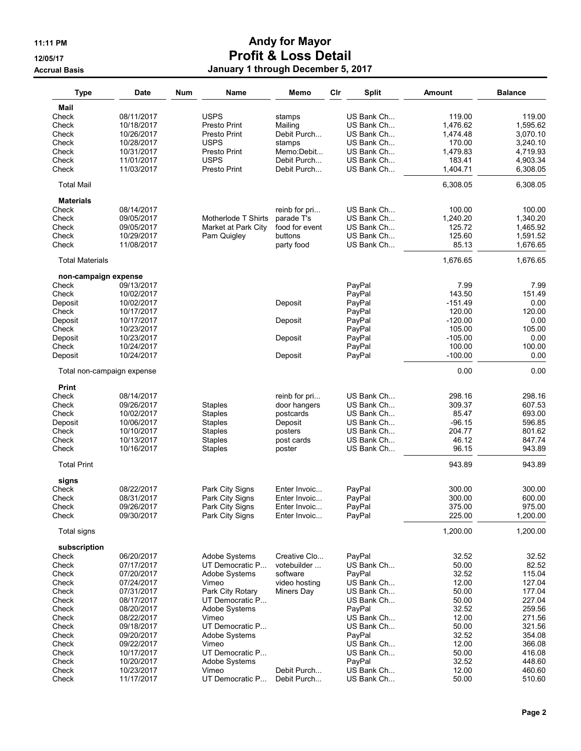## 11:11 PM **Andy for Mayor** 12/05/17 Profit & Loss Detail Accrual Basis **Accrual Basis January 1 through December 5, 2017**

| <b>Type</b>                   | <b>Date</b>                | Num | Name                             | Memo                 | Cir | <b>Split</b>             | <b>Amount</b>  | <b>Balance</b>   |
|-------------------------------|----------------------------|-----|----------------------------------|----------------------|-----|--------------------------|----------------|------------------|
| Mail                          |                            |     |                                  |                      |     |                          |                |                  |
| Check                         | 08/11/2017                 |     | <b>USPS</b>                      | stamps               |     | US Bank Ch               | 119.00         | 119.00           |
| Check                         | 10/18/2017                 |     | Presto Print                     | Mailing              |     | US Bank Ch               | 1,476.62       | 1,595.62         |
| Check                         | 10/26/2017                 |     | Presto Print                     | Debit Purch          |     | US Bank Ch               | 1,474.48       | 3.070.10         |
| Check                         | 10/28/2017                 |     | <b>USPS</b>                      | stamps               |     | US Bank Ch               | 170.00         | 3,240.10         |
| Check                         | 10/31/2017                 |     | Presto Print                     | Memo:Debit           |     | US Bank Ch               | 1,479.83       | 4,719.93         |
| Check                         | 11/01/2017                 |     | <b>USPS</b>                      | Debit Purch          |     | US Bank Ch               | 183.41         | 4,903.34         |
| Check                         | 11/03/2017                 |     | Presto Print                     | Debit Purch          |     | US Bank Ch               | 1,404.71       | 6,308.05         |
| <b>Total Mail</b>             |                            |     |                                  |                      |     |                          | 6,308.05       | 6,308.05         |
| <b>Materials</b>              |                            |     |                                  |                      |     |                          |                |                  |
| Check                         | 08/14/2017                 |     |                                  | reinb for pri        |     | US Bank Ch               | 100.00         | 100.00           |
| Check                         | 09/05/2017                 |     | Motherlode T Shirts              | parade T's           |     | US Bank Ch               | 1,240.20       | 1,340.20         |
| Check                         | 09/05/2017                 |     | Market at Park City              | food for event       |     | US Bank Ch               | 125.72         | 1,465.92         |
| Check                         | 10/29/2017                 |     | Pam Quigley                      | buttons              |     | US Bank Ch               | 125.60         | 1,591.52         |
| Check                         | 11/08/2017                 |     |                                  | party food           |     | US Bank Ch               | 85.13          | 1,676.65         |
| <b>Total Materials</b>        |                            |     |                                  |                      |     |                          | 1,676.65       | 1,676.65         |
| non-campaign expense<br>Check | 09/13/2017                 |     |                                  |                      |     | PayPal                   | 7.99           | 7.99             |
| Check                         | 10/02/2017                 |     |                                  |                      |     | PayPal                   | 143.50         | 151.49           |
| Deposit                       | 10/02/2017                 |     |                                  | Deposit              |     | PayPal                   | $-151.49$      | 0.00             |
| Check                         | 10/17/2017                 |     |                                  |                      |     | PayPal                   | 120.00         | 120.00           |
| Deposit                       | 10/17/2017                 |     |                                  | Deposit              |     | PayPal                   | $-120.00$      | 0.00             |
| Check                         | 10/23/2017                 |     |                                  |                      |     | PayPal                   | 105.00         | 105.00           |
| Deposit                       | 10/23/2017                 |     |                                  | Deposit              |     | PayPal                   | $-105.00$      | 0.00             |
| Check                         | 10/24/2017                 |     |                                  |                      |     | PayPal                   | 100.00         | 100.00           |
| Deposit                       | 10/24/2017                 |     |                                  | Deposit              |     | PayPal                   | $-100.00$      | 0.00             |
|                               | Total non-campaign expense |     |                                  |                      |     |                          | 0.00           | 0.00             |
| <b>Print</b>                  |                            |     |                                  |                      |     |                          |                |                  |
| Check                         | 08/14/2017                 |     |                                  | reinb for pri        |     | US Bank Ch               | 298.16         | 298.16           |
| Check                         | 09/26/2017                 |     | <b>Staples</b>                   | door hangers         |     | US Bank Ch               | 309.37         | 607.53           |
| Check                         | 10/02/2017                 |     | Staples                          | postcards            |     | US Bank Ch               | 85.47          | 693.00           |
| Deposit                       | 10/06/2017                 |     | <b>Staples</b>                   | Deposit              |     | US Bank Ch               | $-96.15$       | 596.85           |
| Check                         | 10/10/2017                 |     | <b>Staples</b>                   | posters              |     | US Bank Ch               | 204.77         | 801.62           |
| Check<br>Check                | 10/13/2017<br>10/16/2017   |     | <b>Staples</b><br><b>Staples</b> | post cards<br>poster |     | US Bank Ch<br>US Bank Ch | 46.12<br>96.15 | 847.74<br>943.89 |
| <b>Total Print</b>            |                            |     |                                  |                      |     |                          | 943.89         | 943.89           |
| signs                         |                            |     |                                  |                      |     |                          |                |                  |
| Check                         | 08/22/2017                 |     | Park City Signs                  | Enter Invoic         |     | PayPal                   | 300.00         | 300.00           |
| Check                         | 08/31/2017                 |     | Park City Signs                  | Enter Invoic         |     | PayPal                   | 300.00         | 600.00           |
| Check                         | 09/26/2017                 |     | Park City Signs                  | Enter Invoic         |     | PayPal                   | 375.00         | 975.00           |
| Check                         | 09/30/2017                 |     | Park City Signs                  | Enter Invoic         |     | PayPal                   | 225.00         | 1,200.00         |
| Total signs                   |                            |     |                                  |                      |     |                          | 1,200.00       | 1,200.00         |
| subscription                  |                            |     |                                  |                      |     |                          |                |                  |
| Check                         | 06/20/2017                 |     | Adobe Systems                    | Creative Clo         |     | PayPal                   | 32.52          | 32.52            |
| Check                         | 07/17/2017                 |     | UT Democratic P                  | votebuilder          |     | US Bank Ch               | 50.00          | 82.52            |
| Check                         | 07/20/2017                 |     | Adobe Systems                    | software             |     | PayPal                   | 32.52          | 115.04           |
| Check                         | 07/24/2017                 |     | Vimeo                            | video hosting        |     | US Bank Ch               | 12.00          | 127.04           |
| Check                         | 07/31/2017                 |     | Park City Rotary                 | Miners Day           |     | US Bank Ch               | 50.00          | 177.04           |
| Check                         | 08/17/2017                 |     | UT Democratic P                  |                      |     | US Bank Ch               | 50.00          | 227.04           |
| Check                         | 08/20/2017                 |     | Adobe Systems                    |                      |     | PayPal                   | 32.52          | 259.56           |
| Check                         | 08/22/2017                 |     | Vimeo                            |                      |     | US Bank Ch               | 12.00          | 271.56           |
| Check                         | 09/18/2017                 |     | UT Democratic P                  |                      |     | US Bank Ch               | 50.00          | 321.56           |
| Check                         | 09/20/2017                 |     | Adobe Systems                    |                      |     | PayPal                   | 32.52          | 354.08           |
| Check                         | 09/22/2017                 |     | Vimeo                            |                      |     | US Bank Ch               | 12.00          | 366.08           |
| Check                         | 10/17/2017                 |     | UT Democratic P                  |                      |     | US Bank Ch               | 50.00          | 416.08           |
| Check                         | 10/20/2017                 |     | Adobe Systems                    |                      |     | PayPal                   | 32.52          | 448.60           |
| Check                         | 10/23/2017                 |     | Vimeo                            | Debit Purch          |     | US Bank Ch               | 12.00          | 460.60           |
| Check                         | 11/17/2017                 |     | UT Democratic P                  | Debit Purch          |     | US Bank Ch               | 50.00          | 510.60           |